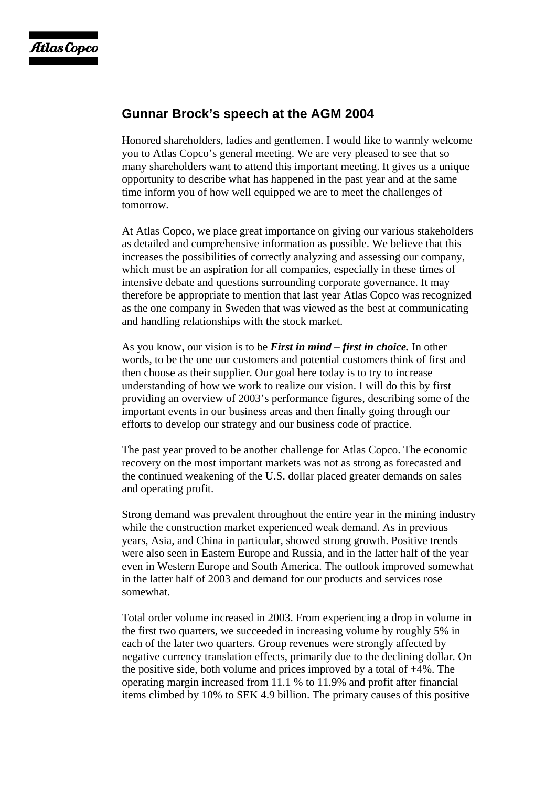## **Gunnar Brock's speech at the AGM 2004**

Honored shareholders, ladies and gentlemen. I would like to warmly welcome you to Atlas Copco's general meeting. We are very pleased to see that so many shareholders want to attend this important meeting. It gives us a unique opportunity to describe what has happened in the past year and at the same time inform you of how well equipped we are to meet the challenges of tomorrow.

At Atlas Copco, we place great importance on giving our various stakeholders as detailed and comprehensive information as possible. We believe that this increases the possibilities of correctly analyzing and assessing our company, which must be an aspiration for all companies, especially in these times of intensive debate and questions surrounding corporate governance. It may therefore be appropriate to mention that last year Atlas Copco was recognized as the one company in Sweden that was viewed as the best at communicating and handling relationships with the stock market.

As you know, our vision is to be *First in mind – first in choice.* In other words, to be the one our customers and potential customers think of first and then choose as their supplier. Our goal here today is to try to increase understanding of how we work to realize our vision. I will do this by first providing an overview of 2003's performance figures, describing some of the important events in our business areas and then finally going through our efforts to develop our strategy and our business code of practice.

The past year proved to be another challenge for Atlas Copco. The economic recovery on the most important markets was not as strong as forecasted and the continued weakening of the U.S. dollar placed greater demands on sales and operating profit.

Strong demand was prevalent throughout the entire year in the mining industry while the construction market experienced weak demand. As in previous years, Asia, and China in particular, showed strong growth. Positive trends were also seen in Eastern Europe and Russia, and in the latter half of the year even in Western Europe and South America. The outlook improved somewhat in the latter half of 2003 and demand for our products and services rose somewhat.

Total order volume increased in 2003. From experiencing a drop in volume in the first two quarters, we succeeded in increasing volume by roughly 5% in each of the later two quarters. Group revenues were strongly affected by negative currency translation effects, primarily due to the declining dollar. On the positive side, both volume and prices improved by a total of +4%. The operating margin increased from 11.1 % to 11.9% and profit after financial items climbed by 10% to SEK 4.9 billion. The primary causes of this positive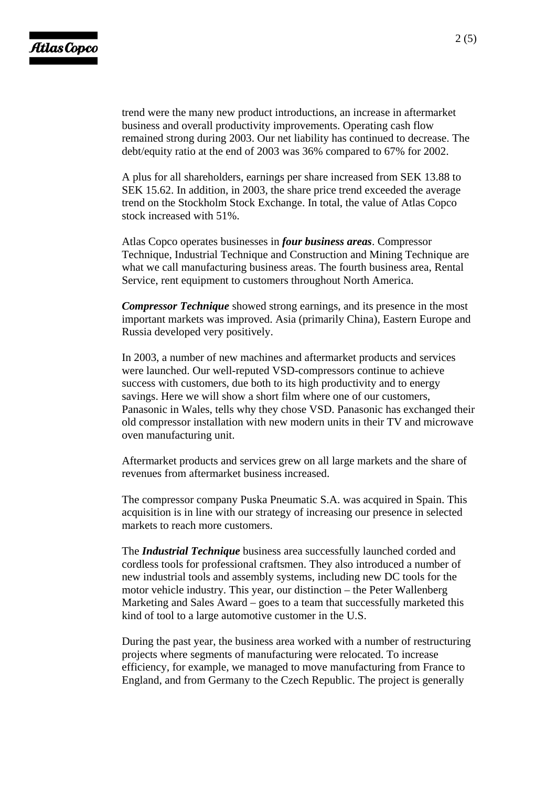trend were the many new product introductions, an increase in aftermarket business and overall productivity improvements. Operating cash flow remained strong during 2003. Our net liability has continued to decrease. The debt/equity ratio at the end of 2003 was 36% compared to 67% for 2002.

A plus for all shareholders, earnings per share increased from SEK 13.88 to SEK 15.62. In addition, in 2003, the share price trend exceeded the average trend on the Stockholm Stock Exchange. In total, the value of Atlas Copco stock increased with 51%.

Atlas Copco operates businesses in *four business areas*. Compressor Technique, Industrial Technique and Construction and Mining Technique are what we call manufacturing business areas. The fourth business area, Rental Service, rent equipment to customers throughout North America.

*Compressor Technique* showed strong earnings, and its presence in the most important markets was improved. Asia (primarily China), Eastern Europe and Russia developed very positively.

In 2003, a number of new machines and aftermarket products and services were launched. Our well-reputed VSD-compressors continue to achieve success with customers, due both to its high productivity and to energy savings. Here we will show a short film where one of our customers, Panasonic in Wales, tells why they chose VSD. Panasonic has exchanged their old compressor installation with new modern units in their TV and microwave oven manufacturing unit.

Aftermarket products and services grew on all large markets and the share of revenues from aftermarket business increased.

The compressor company Puska Pneumatic S.A. was acquired in Spain. This acquisition is in line with our strategy of increasing our presence in selected markets to reach more customers.

The *Industrial Technique* business area successfully launched corded and cordless tools for professional craftsmen. They also introduced a number of new industrial tools and assembly systems, including new DC tools for the motor vehicle industry. This year, our distinction – the Peter Wallenberg Marketing and Sales Award – goes to a team that successfully marketed this kind of tool to a large automotive customer in the U.S.

During the past year, the business area worked with a number of restructuring projects where segments of manufacturing were relocated. To increase efficiency, for example, we managed to move manufacturing from France to England, and from Germany to the Czech Republic. The project is generally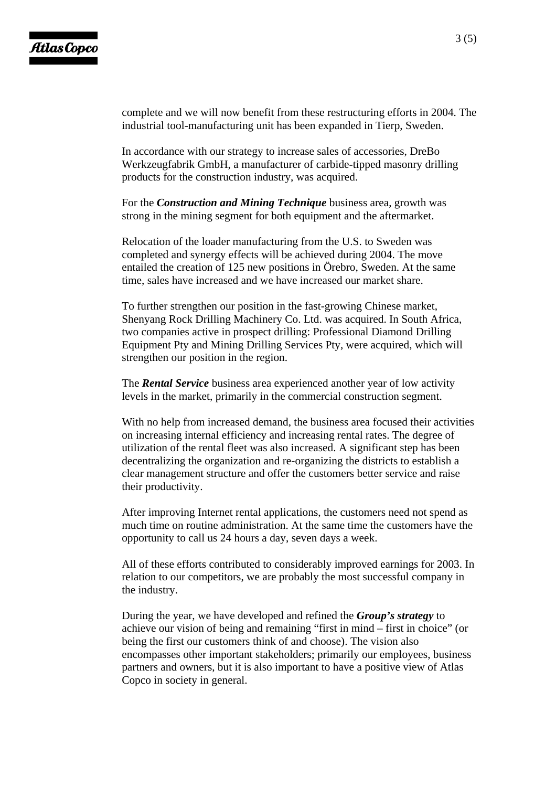complete and we will now benefit from these restructuring efforts in 2004. The industrial tool-manufacturing unit has been expanded in Tierp, Sweden.

In accordance with our strategy to increase sales of accessories, DreBo Werkzeugfabrik GmbH, a manufacturer of carbide-tipped masonry drilling products for the construction industry, was acquired.

For the *Construction and Mining Technique* business area, growth was strong in the mining segment for both equipment and the aftermarket.

Relocation of the loader manufacturing from the U.S. to Sweden was completed and synergy effects will be achieved during 2004. The move entailed the creation of 125 new positions in Örebro, Sweden. At the same time, sales have increased and we have increased our market share.

To further strengthen our position in the fast-growing Chinese market, Shenyang Rock Drilling Machinery Co. Ltd. was acquired. In South Africa, two companies active in prospect drilling: Professional Diamond Drilling Equipment Pty and Mining Drilling Services Pty, were acquired, which will strengthen our position in the region.

The *Rental Service* business area experienced another year of low activity levels in the market, primarily in the commercial construction segment.

With no help from increased demand, the business area focused their activities on increasing internal efficiency and increasing rental rates. The degree of utilization of the rental fleet was also increased. A significant step has been decentralizing the organization and re-organizing the districts to establish a clear management structure and offer the customers better service and raise their productivity.

After improving Internet rental applications, the customers need not spend as much time on routine administration. At the same time the customers have the opportunity to call us 24 hours a day, seven days a week.

All of these efforts contributed to considerably improved earnings for 2003. In relation to our competitors, we are probably the most successful company in the industry.

During the year, we have developed and refined the *Group's strategy* to achieve our vision of being and remaining "first in mind – first in choice" (or being the first our customers think of and choose). The vision also encompasses other important stakeholders; primarily our employees, business partners and owners, but it is also important to have a positive view of Atlas Copco in society in general.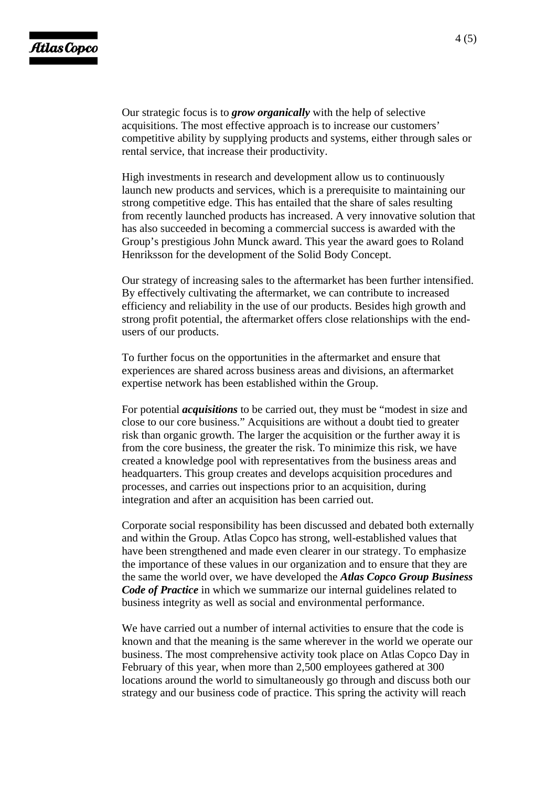Our strategic focus is to *grow organically* with the help of selective acquisitions. The most effective approach is to increase our customers' competitive ability by supplying products and systems, either through sales or rental service, that increase their productivity.

High investments in research and development allow us to continuously launch new products and services, which is a prerequisite to maintaining our strong competitive edge. This has entailed that the share of sales resulting from recently launched products has increased. A very innovative solution that has also succeeded in becoming a commercial success is awarded with the Group's prestigious John Munck award. This year the award goes to Roland Henriksson for the development of the Solid Body Concept.

Our strategy of increasing sales to the aftermarket has been further intensified. By effectively cultivating the aftermarket, we can contribute to increased efficiency and reliability in the use of our products. Besides high growth and strong profit potential, the aftermarket offers close relationships with the endusers of our products.

To further focus on the opportunities in the aftermarket and ensure that experiences are shared across business areas and divisions, an aftermarket expertise network has been established within the Group.

For potential *acquisitions* to be carried out, they must be "modest in size and close to our core business." Acquisitions are without a doubt tied to greater risk than organic growth. The larger the acquisition or the further away it is from the core business, the greater the risk. To minimize this risk, we have created a knowledge pool with representatives from the business areas and headquarters. This group creates and develops acquisition procedures and processes, and carries out inspections prior to an acquisition, during integration and after an acquisition has been carried out.

Corporate social responsibility has been discussed and debated both externally and within the Group. Atlas Copco has strong, well-established values that have been strengthened and made even clearer in our strategy. To emphasize the importance of these values in our organization and to ensure that they are the same the world over, we have developed the *Atlas Copco Group Business Code of Practice* in which we summarize our internal guidelines related to business integrity as well as social and environmental performance.

We have carried out a number of internal activities to ensure that the code is known and that the meaning is the same wherever in the world we operate our business. The most comprehensive activity took place on Atlas Copco Day in February of this year, when more than 2,500 employees gathered at 300 locations around the world to simultaneously go through and discuss both our strategy and our business code of practice. This spring the activity will reach